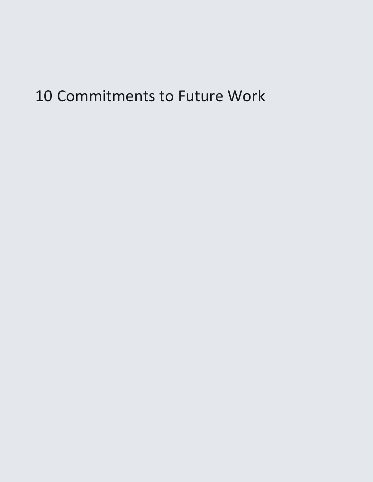# 10 Commitments to Future Work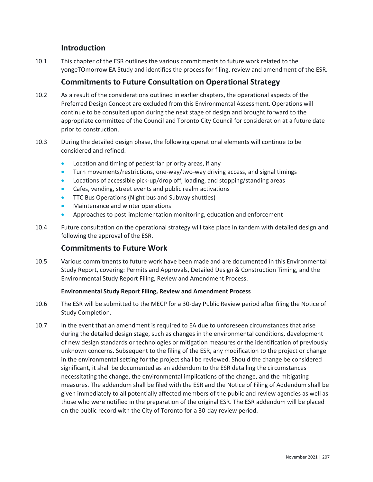# **Introduction**

10.1 This chapter of the ESR outlines the various commitments to future work related to the yongeTOmorrow EA Study and identifies the process for filing, review and amendment of the ESR.

# **Commitments to Future Consultation on Operational Strategy**

- 10.2 As a result of the considerations outlined in earlier chapters, the operational aspects of the Preferred Design Concept are excluded from this Environmental Assessment. Operations will continue to be consulted upon during the next stage of design and brought forward to the appropriate committee of the Council and Toronto City Council for consideration at a future date prior to construction.
- 10.3 During the detailed design phase, the following operational elements will continue to be considered and refined:
	- Location and timing of pedestrian priority areas, if any
	- Turn movements/restrictions, one-way/two-way driving access, and signal timings
	- Locations of accessible pick-up/drop off, loading, and stopping/standing areas
	- Cafes, vending, street events and public realm activations
	- TTC Bus Operations (Night bus and Subway shuttles)
	- Maintenance and winter operations
	- Approaches to post-implementation monitoring, education and enforcement
- 10.4 Future consultation on the operational strategy will take place in tandem with detailed design and following the approval of the ESR.

## **Commitments to Future Work**

10.5 Various commitments to future work have been made and are documented in this Environmental Study Report, covering: Permits and Approvals, Detailed Design & Construction Timing, and the Environmental Study Report Filing, Review and Amendment Process.

## **Environmental Study Report Filing, Review and Amendment Process**

- 10.6 The ESR will be submitted to the MECP for a 30-day Public Review period after filing the Notice of Study Completion.
- measures. The addendum shall be filed with the ESR and the Notice of Filing of Addendum shall be 10.7 In the event that an amendment is required to EA due to unforeseen circumstances that arise during the detailed design stage, such as changes in the environmental conditions, development of new design standards or technologies or mitigation measures or the identification of previously unknown concerns. Subsequent to the filing of the ESR, any modification to the project or change in the environmental setting for the project shall be reviewed. Should the change be considered significant, it shall be documented as an addendum to the ESR detailing the circumstances necessitating the change, the environmental implications of the change, and the mitigating given immediately to all potentially affected members of the public and review agencies as well as those who were notified in the preparation of the original ESR. The ESR addendum will be placed on the public record with the City of Toronto for a 30-day review period.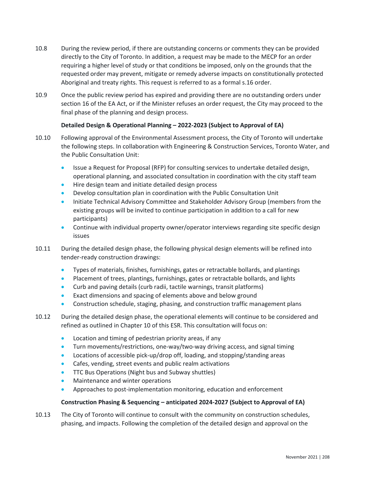- 10.8 During the review period, if there are outstanding concerns or comments they can be provided directly to the City of Toronto. In addition, a request may be made to the MECP for an order requiring a higher level of study or that conditions be imposed, only on the grounds that the requested order may prevent, mitigate or remedy adverse impacts on constitutionally protected Aboriginal and treaty rights. This request is referred to as a formal s.16 order.
- 10.9 Once the public review period has expired and providing there are no outstanding orders under section 16 of the EA Act, or if the Minister refuses an order request, the City may proceed to the final phase of the planning and design process.

### **Detailed Design & Operational Planning – 2022-2023 (Subject to Approval of EA)**

- the following steps. In collaboration with Engineering & Construction Services, Toronto Water, and 10.10 Following approval of the Environmental Assessment process, the City of Toronto will undertake the Public Consultation Unit:
	- operational planning, and associated consultation in coordination with the city staff team • Issue a Request for Proposal (RFP) for consulting services to undertake detailed design,
	- Hire design team and initiate detailed design process
	- Develop consultation plan in coordination with the Public Consultation Unit
	- Initiate Technical Advisory Committee and Stakeholder Advisory Group (members from the existing groups will be invited to continue participation in addition to a call for new participants)
	- Continue with individual property owner/operator interviews regarding site specific design issues
- tender-ready construction drawings: 10.11 During the detailed design phase, the following physical design elements will be refined into
	- Types of materials, finishes, furnishings, gates or retractable bollards, and plantings
	- Placement of trees, plantings, furnishings, gates or retractable bollards, and lights
	- Curb and paving details (curb radii, tactile warnings, transit platforms)
	- Exact dimensions and spacing of elements above and below ground
	- Construction schedule, staging, phasing, and construction traffic management plans
- refined as outlined in Chapter 10 of this ESR. This consultation will focus on: 10.12 During the detailed design phase, the operational elements will continue to be considered and
	- Location and timing of pedestrian priority areas, if any
	- Turn movements/restrictions, one-way/two-way driving access, and signal timing
	- Locations of accessible pick-up/drop off, loading, and stopping/standing areas
	- Cafes, vending, street events and public realm activations
	- TTC Bus Operations (Night bus and Subway shuttles)
	- Maintenance and winter operations
	- Approaches to post-implementation monitoring, education and enforcement

#### **Construction Phasing & Sequencing – anticipated 2024-2027 (Subject to Approval of EA)**

 10.13 The City of Toronto will continue to consult with the community on construction schedules, phasing, and impacts. Following the completion of the detailed design and approval on the